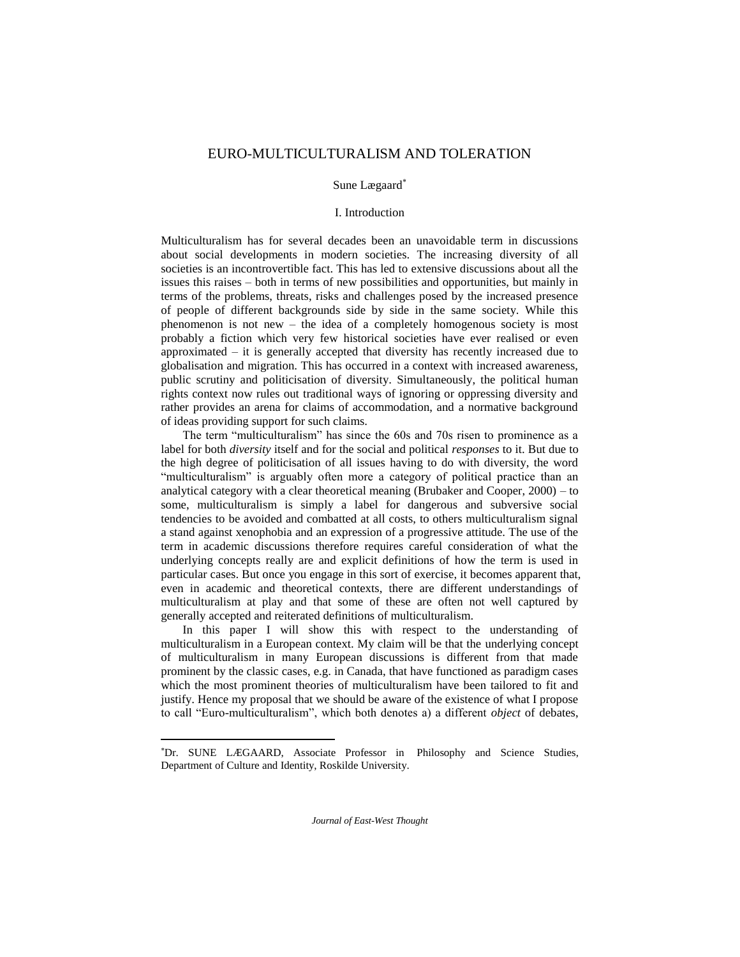# EURO-MULTICULTURALISM AND TOLERATION

Sune Lægaard

# I. Introduction

Multiculturalism has for several decades been an unavoidable term in discussions about social developments in modern societies. The increasing diversity of all societies is an incontrovertible fact. This has led to extensive discussions about all the issues this raises – both in terms of new possibilities and opportunities, but mainly in terms of the problems, threats, risks and challenges posed by the increased presence of people of different backgrounds side by side in the same society. While this phenomenon is not new – the idea of a completely homogenous society is most probably a fiction which very few historical societies have ever realised or even approximated – it is generally accepted that diversity has recently increased due to globalisation and migration. This has occurred in a context with increased awareness, public scrutiny and politicisation of diversity. Simultaneously, the political human rights context now rules out traditional ways of ignoring or oppressing diversity and rather provides an arena for claims of accommodation, and a normative background of ideas providing support for such claims.

The term "multiculturalism" has since the 60s and 70s risen to prominence as a label for both *diversity* itself and for the social and political *responses* to it. But due to the high degree of politicisation of all issues having to do with diversity, the word "multiculturalism" is arguably often more a category of political practice than an analytical category with a clear theoretical meaning (Brubaker and Cooper, 2000) – to some, multiculturalism is simply a label for dangerous and subversive social tendencies to be avoided and combatted at all costs, to others multiculturalism signal a stand against xenophobia and an expression of a progressive attitude. The use of the term in academic discussions therefore requires careful consideration of what the underlying concepts really are and explicit definitions of how the term is used in particular cases. But once you engage in this sort of exercise, it becomes apparent that, even in academic and theoretical contexts, there are different understandings of multiculturalism at play and that some of these are often not well captured by generally accepted and reiterated definitions of multiculturalism.

In this paper I will show this with respect to the understanding of multiculturalism in a European context. My claim will be that the underlying concept of multiculturalism in many European discussions is different from that made prominent by the classic cases, e.g. in Canada, that have functioned as paradigm cases which the most prominent theories of multiculturalism have been tailored to fit and justify. Hence my proposal that we should be aware of the existence of what I propose to call "Euro-multiculturalism", which both denotes a) a different *object* of debates,

l

Dr. SUNE LÆGAARD, Associate Professor in Philosophy and Science Studies, Department of Culture and Identity, Roskilde University.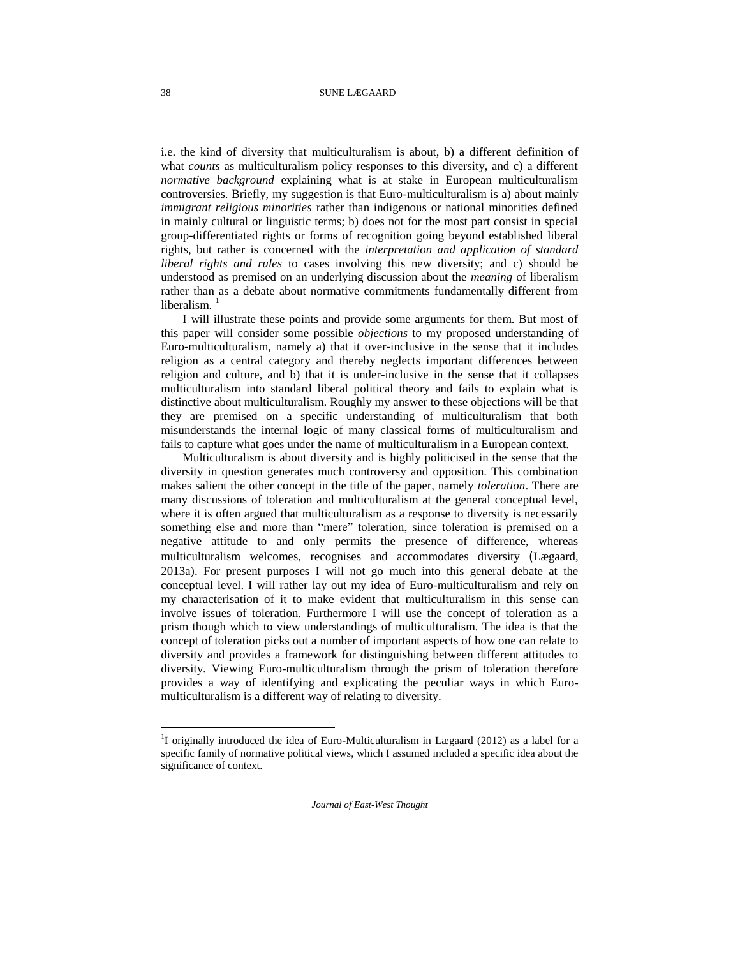i.e. the kind of diversity that multiculturalism is about, b) a different definition of what *counts* as multiculturalism policy responses to this diversity, and c) a different *normative background* explaining what is at stake in European multiculturalism controversies. Briefly, my suggestion is that Euro-multiculturalism is a) about mainly *immigrant religious minorities* rather than indigenous or national minorities defined in mainly cultural or linguistic terms; b) does not for the most part consist in special group-differentiated rights or forms of recognition going beyond established liberal rights, but rather is concerned with the *interpretation and application of standard liberal rights and rules* to cases involving this new diversity; and c) should be understood as premised on an underlying discussion about the *meaning* of liberalism rather than as a debate about normative commitments fundamentally different from liberalism. $1$ 

I will illustrate these points and provide some arguments for them. But most of this paper will consider some possible *objections* to my proposed understanding of Euro-multiculturalism, namely a) that it over-inclusive in the sense that it includes religion as a central category and thereby neglects important differences between religion and culture, and b) that it is under-inclusive in the sense that it collapses multiculturalism into standard liberal political theory and fails to explain what is distinctive about multiculturalism. Roughly my answer to these objections will be that they are premised on a specific understanding of multiculturalism that both misunderstands the internal logic of many classical forms of multiculturalism and fails to capture what goes under the name of multiculturalism in a European context.

Multiculturalism is about diversity and is highly politicised in the sense that the diversity in question generates much controversy and opposition. This combination makes salient the other concept in the title of the paper, namely *toleration*. There are many discussions of toleration and multiculturalism at the general conceptual level, where it is often argued that multiculturalism as a response to diversity is necessarily something else and more than "mere" toleration, since toleration is premised on a negative attitude to and only permits the presence of difference, whereas multiculturalism welcomes, recognises and accommodates diversity (Lægaard, 2013a). For present purposes I will not go much into this general debate at the conceptual level. I will rather lay out my idea of Euro-multiculturalism and rely on my characterisation of it to make evident that multiculturalism in this sense can involve issues of toleration. Furthermore I will use the concept of toleration as a prism though which to view understandings of multiculturalism. The idea is that the concept of toleration picks out a number of important aspects of how one can relate to diversity and provides a framework for distinguishing between different attitudes to diversity. Viewing Euro-multiculturalism through the prism of toleration therefore provides a way of identifying and explicating the peculiar ways in which Euromulticulturalism is a different way of relating to diversity.

*Journal of East-West Thought*

l

<sup>&</sup>lt;sup>1</sup>I originally introduced the idea of Euro-Multiculturalism in Lægaard (2012) as a label for a specific family of normative political views, which I assumed included a specific idea about the significance of context.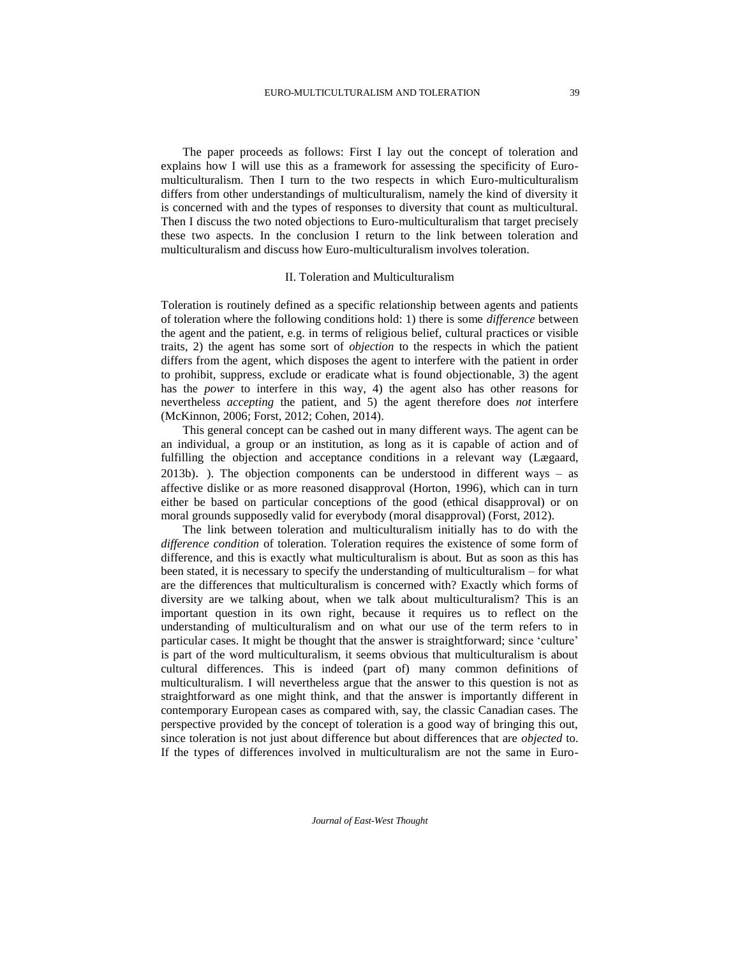The paper proceeds as follows: First I lay out the concept of toleration and explains how I will use this as a framework for assessing the specificity of Euromulticulturalism. Then I turn to the two respects in which Euro-multiculturalism differs from other understandings of multiculturalism, namely the kind of diversity it is concerned with and the types of responses to diversity that count as multicultural. Then I discuss the two noted objections to Euro-multiculturalism that target precisely these two aspects. In the conclusion I return to the link between toleration and multiculturalism and discuss how Euro-multiculturalism involves toleration.

#### II. Toleration and Multiculturalism

Toleration is routinely defined as a specific relationship between agents and patients of toleration where the following conditions hold: 1) there is some *difference* between the agent and the patient, e.g. in terms of religious belief, cultural practices or visible traits, 2) the agent has some sort of *objection* to the respects in which the patient differs from the agent, which disposes the agent to interfere with the patient in order to prohibit, suppress, exclude or eradicate what is found objectionable, 3) the agent has the *power* to interfere in this way, 4) the agent also has other reasons for nevertheless *accepting* the patient, and 5) the agent therefore does *not* interfere (McKinnon, 2006; Forst, 2012; Cohen, 2014).

This general concept can be cashed out in many different ways. The agent can be an individual, a group or an institution, as long as it is capable of action and of fulfilling the objection and acceptance conditions in a relevant way (Lægaard, 2013b). ). The objection components can be understood in different ways – as affective dislike or as more reasoned disapproval (Horton, 1996), which can in turn either be based on particular conceptions of the good (ethical disapproval) or on moral grounds supposedly valid for everybody (moral disapproval) (Forst, 2012).

The link between toleration and multiculturalism initially has to do with the *difference condition* of toleration. Toleration requires the existence of some form of difference, and this is exactly what multiculturalism is about. But as soon as this has been stated, it is necessary to specify the understanding of multiculturalism – for what are the differences that multiculturalism is concerned with? Exactly which forms of diversity are we talking about, when we talk about multiculturalism? This is an important question in its own right, because it requires us to reflect on the understanding of multiculturalism and on what our use of the term refers to in particular cases. It might be thought that the answer is straightforward; since 'culture' is part of the word multiculturalism, it seems obvious that multiculturalism is about cultural differences. This is indeed (part of) many common definitions of multiculturalism. I will nevertheless argue that the answer to this question is not as straightforward as one might think, and that the answer is importantly different in contemporary European cases as compared with, say, the classic Canadian cases. The perspective provided by the concept of toleration is a good way of bringing this out, since toleration is not just about difference but about differences that are *objected* to. If the types of differences involved in multiculturalism are not the same in Euro-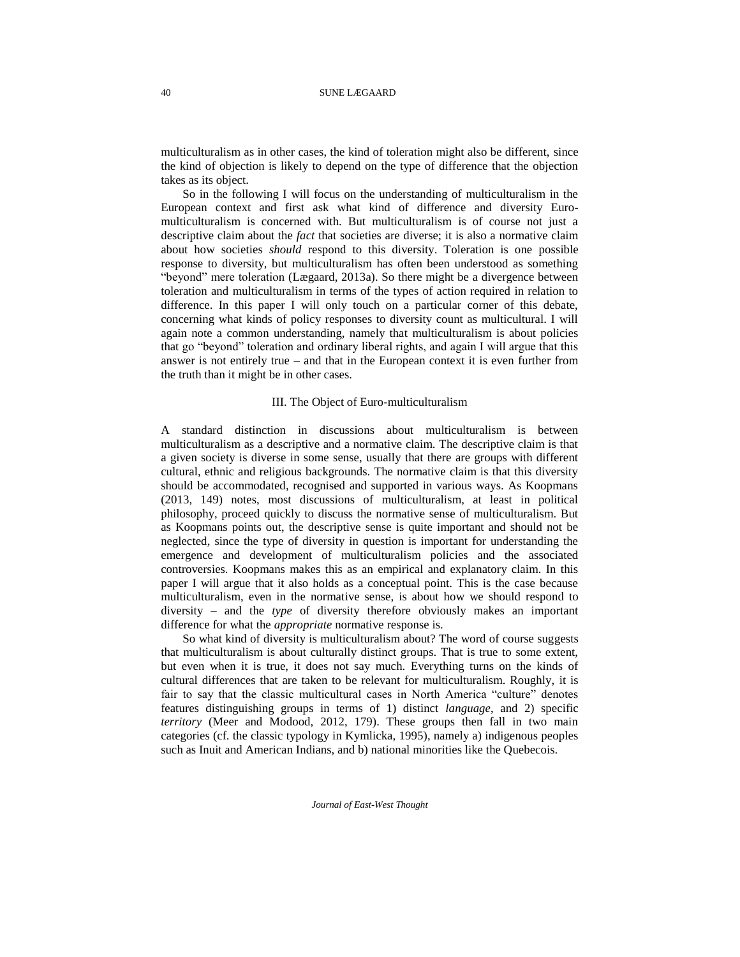multiculturalism as in other cases, the kind of toleration might also be different, since the kind of objection is likely to depend on the type of difference that the objection takes as its object.

So in the following I will focus on the understanding of multiculturalism in the European context and first ask what kind of difference and diversity Euromulticulturalism is concerned with. But multiculturalism is of course not just a descriptive claim about the *fact* that societies are diverse; it is also a normative claim about how societies *should* respond to this diversity. Toleration is one possible response to diversity, but multiculturalism has often been understood as something "beyond" mere toleration (Lægaard, 2013a). So there might be a divergence between toleration and multiculturalism in terms of the types of action required in relation to difference. In this paper I will only touch on a particular corner of this debate, concerning what kinds of policy responses to diversity count as multicultural. I will again note a common understanding, namely that multiculturalism is about policies that go "beyond" toleration and ordinary liberal rights, and again I will argue that this answer is not entirely true – and that in the European context it is even further from the truth than it might be in other cases.

### III. The Object of Euro-multiculturalism

A standard distinction in discussions about multiculturalism is between multiculturalism as a descriptive and a normative claim. The descriptive claim is that a given society is diverse in some sense, usually that there are groups with different cultural, ethnic and religious backgrounds. The normative claim is that this diversity should be accommodated, recognised and supported in various ways. As Koopmans (2013, 149) notes, most discussions of multiculturalism, at least in political philosophy, proceed quickly to discuss the normative sense of multiculturalism. But as Koopmans points out, the descriptive sense is quite important and should not be neglected, since the type of diversity in question is important for understanding the emergence and development of multiculturalism policies and the associated controversies. Koopmans makes this as an empirical and explanatory claim. In this paper I will argue that it also holds as a conceptual point. This is the case because multiculturalism, even in the normative sense, is about how we should respond to diversity – and the *type* of diversity therefore obviously makes an important difference for what the *appropriate* normative response is.

So what kind of diversity is multiculturalism about? The word of course suggests that multiculturalism is about culturally distinct groups. That is true to some extent, but even when it is true, it does not say much. Everything turns on the kinds of cultural differences that are taken to be relevant for multiculturalism. Roughly, it is fair to say that the classic multicultural cases in North America "culture" denotes features distinguishing groups in terms of 1) distinct *language*, and 2) specific *territory* (Meer and Modood, 2012, 179). These groups then fall in two main categories (cf. the classic typology in Kymlicka, 1995), namely a) indigenous peoples such as Inuit and American Indians, and b) national minorities like the Quebecois.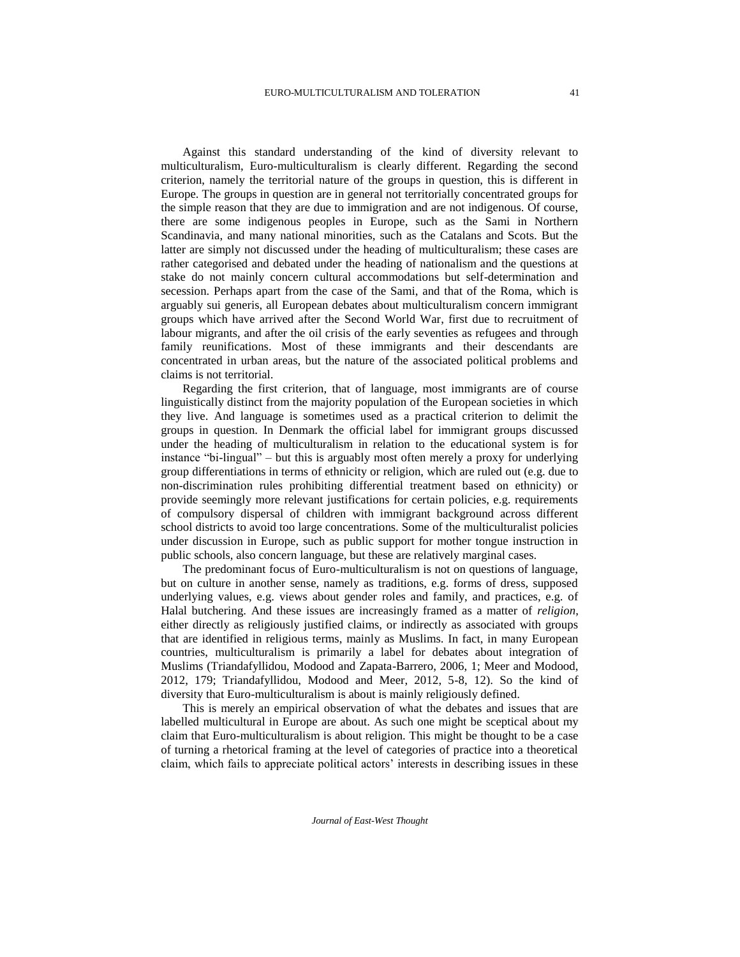Against this standard understanding of the kind of diversity relevant to multiculturalism, Euro-multiculturalism is clearly different. Regarding the second criterion, namely the territorial nature of the groups in question, this is different in Europe. The groups in question are in general not territorially concentrated groups for the simple reason that they are due to immigration and are not indigenous. Of course, there are some indigenous peoples in Europe, such as the Sami in Northern Scandinavia, and many national minorities, such as the Catalans and Scots. But the latter are simply not discussed under the heading of multiculturalism; these cases are rather categorised and debated under the heading of nationalism and the questions at stake do not mainly concern cultural accommodations but self-determination and secession. Perhaps apart from the case of the Sami, and that of the Roma, which is arguably sui generis, all European debates about multiculturalism concern immigrant groups which have arrived after the Second World War, first due to recruitment of labour migrants, and after the oil crisis of the early seventies as refugees and through family reunifications. Most of these immigrants and their descendants are concentrated in urban areas, but the nature of the associated political problems and claims is not territorial.

Regarding the first criterion, that of language, most immigrants are of course linguistically distinct from the majority population of the European societies in which they live. And language is sometimes used as a practical criterion to delimit the groups in question. In Denmark the official label for immigrant groups discussed under the heading of multiculturalism in relation to the educational system is for instance "bi-lingual" – but this is arguably most often merely a proxy for underlying group differentiations in terms of ethnicity or religion, which are ruled out (e.g. due to non-discrimination rules prohibiting differential treatment based on ethnicity) or provide seemingly more relevant justifications for certain policies, e.g. requirements of compulsory dispersal of children with immigrant background across different school districts to avoid too large concentrations. Some of the multiculturalist policies under discussion in Europe, such as public support for mother tongue instruction in public schools, also concern language, but these are relatively marginal cases.

The predominant focus of Euro-multiculturalism is not on questions of language, but on culture in another sense, namely as traditions, e.g. forms of dress, supposed underlying values, e.g. views about gender roles and family, and practices, e.g. of Halal butchering. And these issues are increasingly framed as a matter of *religion*, either directly as religiously justified claims, or indirectly as associated with groups that are identified in religious terms, mainly as Muslims. In fact, in many European countries, multiculturalism is primarily a label for debates about integration of Muslims (Triandafyllidou, Modood and Zapata-Barrero, 2006, 1; Meer and Modood, 2012, 179; Triandafyllidou, Modood and Meer, 2012, 5-8, 12). So the kind of diversity that Euro-multiculturalism is about is mainly religiously defined.

This is merely an empirical observation of what the debates and issues that are labelled multicultural in Europe are about. As such one might be sceptical about my claim that Euro-multiculturalism is about religion. This might be thought to be a case of turning a rhetorical framing at the level of categories of practice into a theoretical claim, which fails to appreciate political actors' interests in describing issues in these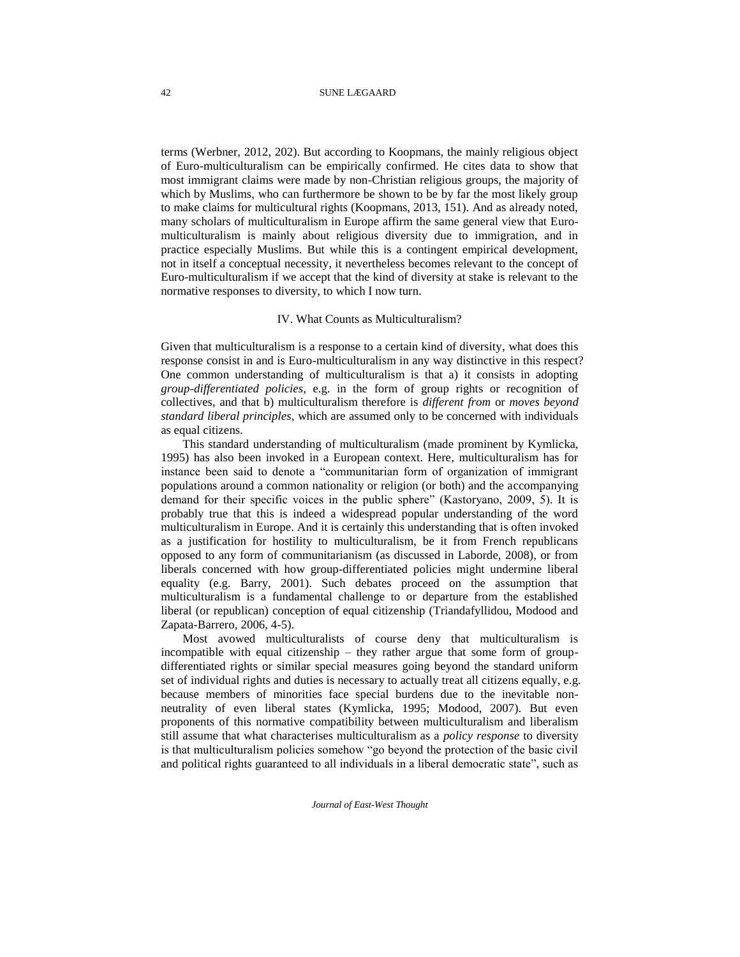terms (Werbner, 2012, 202). But according to Koopmans, the mainly religious object of Euro-multiculturalism can be empirically confirmed. He cites data to show that most immigrant claims were made by non-Christian religious groups, the majority of which by Muslims, who can furthermore be shown to be by far the most likely group to make claims for multicultural rights (Koopmans, 2013, 151). And as already noted, many scholars of multiculturalism in Europe affirm the same general view that Euromulticulturalism is mainly about religious diversity due to immigration, and in practice especially Muslims. But while this is a contingent empirical development, not in itself a conceptual necessity, it nevertheless becomes relevant to the concept of Euro-multiculturalism if we accept that the kind of diversity at stake is relevant to the normative responses to diversity, to which I now turn.

# IV. What Counts as Multiculturalism?

Given that multiculturalism is a response to a certain kind of diversity, what does this response consist in and is Euro-multiculturalism in any way distinctive in this respect? One common understanding of multiculturalism is that a) it consists in adopting *group-differentiated policies*, e.g. in the form of group rights or recognition of collectives, and that b) multiculturalism therefore is *different from* or *moves beyond standard liberal principles*, which are assumed only to be concerned with individuals as equal citizens.

This standard understanding of multiculturalism (made prominent by Kymlicka, 1995) has also been invoked in a European context. Here, multiculturalism has for instance been said to denote a "communitarian form of organization of immigrant populations around a common nationality or religion (or both) and the accompanying demand for their specific voices in the public sphere" (Kastoryano, 2009, 5). It is probably true that this is indeed a widespread popular understanding of the word multiculturalism in Europe. And it is certainly this understanding that is often invoked as a justification for hostility to multiculturalism, be it from French republicans opposed to any form of communitarianism (as discussed in Laborde, 2008), or from liberals concerned with how group-differentiated policies might undermine liberal equality (e.g. Barry, 2001). Such debates proceed on the assumption that multiculturalism is a fundamental challenge to or departure from the established liberal (or republican) conception of equal citizenship (Triandafyllidou, Modood and Zapata-Barrero, 2006, 4-5).

Most avowed multiculturalists of course deny that multiculturalism is incompatible with equal citizenship – they rather argue that some form of groupdifferentiated rights or similar special measures going beyond the standard uniform set of individual rights and duties is necessary to actually treat all citizens equally, e.g. because members of minorities face special burdens due to the inevitable nonneutrality of even liberal states (Kymlicka, 1995; Modood, 2007). But even proponents of this normative compatibility between multiculturalism and liberalism still assume that what characterises multiculturalism as a *policy response* to diversity is that multiculturalism policies somehow "go beyond the protection of the basic civil and political rights guaranteed to all individuals in a liberal democratic state", such as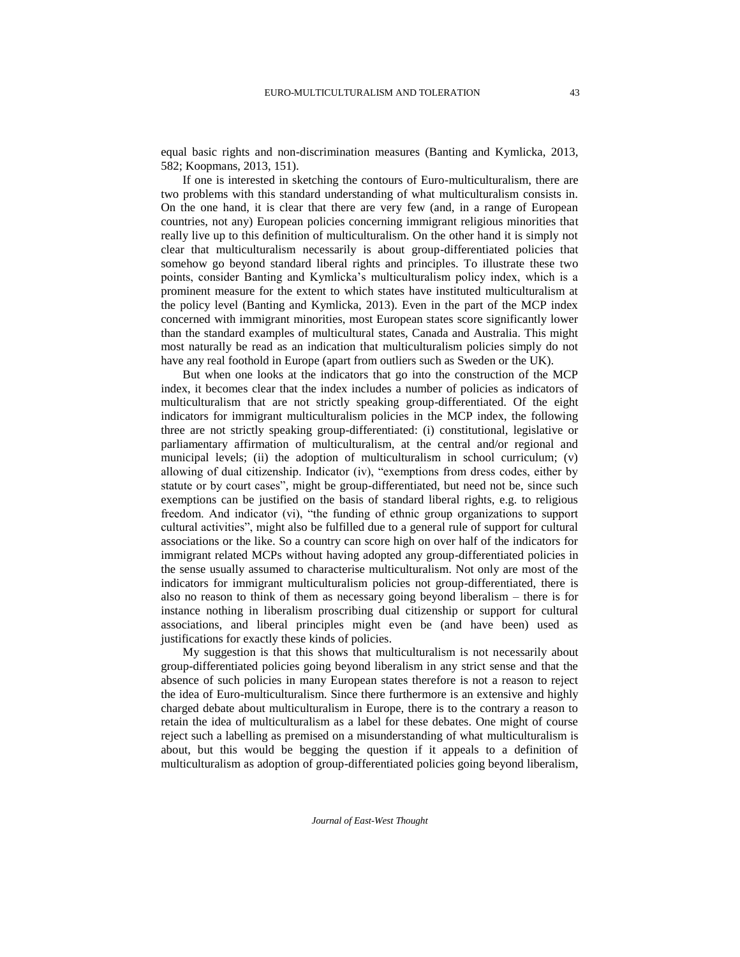equal basic rights and non-discrimination measures (Banting and Kymlicka, 2013, 582; Koopmans, 2013, 151).

If one is interested in sketching the contours of Euro-multiculturalism, there are two problems with this standard understanding of what multiculturalism consists in. On the one hand, it is clear that there are very few (and, in a range of European countries, not any) European policies concerning immigrant religious minorities that really live up to this definition of multiculturalism. On the other hand it is simply not clear that multiculturalism necessarily is about group-differentiated policies that somehow go beyond standard liberal rights and principles. To illustrate these two points, consider Banting and Kymlicka's multiculturalism policy index, which is a prominent measure for the extent to which states have instituted multiculturalism at the policy level (Banting and Kymlicka, 2013). Even in the part of the MCP index concerned with immigrant minorities, most European states score significantly lower than the standard examples of multicultural states, Canada and Australia. This might most naturally be read as an indication that multiculturalism policies simply do not have any real foothold in Europe (apart from outliers such as Sweden or the UK).

But when one looks at the indicators that go into the construction of the MCP index, it becomes clear that the index includes a number of policies as indicators of multiculturalism that are not strictly speaking group-differentiated. Of the eight indicators for immigrant multiculturalism policies in the MCP index, the following three are not strictly speaking group-differentiated: (i) constitutional, legislative or parliamentary affirmation of multiculturalism, at the central and/or regional and municipal levels; (ii) the adoption of multiculturalism in school curriculum; (v) allowing of dual citizenship. Indicator (iv), "exemptions from dress codes, either by statute or by court cases", might be group-differentiated, but need not be, since such exemptions can be justified on the basis of standard liberal rights, e.g. to religious freedom. And indicator (vi), "the funding of ethnic group organizations to support cultural activities", might also be fulfilled due to a general rule of support for cultural associations or the like. So a country can score high on over half of the indicators for immigrant related MCPs without having adopted any group-differentiated policies in the sense usually assumed to characterise multiculturalism. Not only are most of the indicators for immigrant multiculturalism policies not group-differentiated, there is also no reason to think of them as necessary going beyond liberalism – there is for instance nothing in liberalism proscribing dual citizenship or support for cultural associations, and liberal principles might even be (and have been) used as justifications for exactly these kinds of policies.

My suggestion is that this shows that multiculturalism is not necessarily about group-differentiated policies going beyond liberalism in any strict sense and that the absence of such policies in many European states therefore is not a reason to reject the idea of Euro-multiculturalism. Since there furthermore is an extensive and highly charged debate about multiculturalism in Europe, there is to the contrary a reason to retain the idea of multiculturalism as a label for these debates. One might of course reject such a labelling as premised on a misunderstanding of what multiculturalism is about, but this would be begging the question if it appeals to a definition of multiculturalism as adoption of group-differentiated policies going beyond liberalism,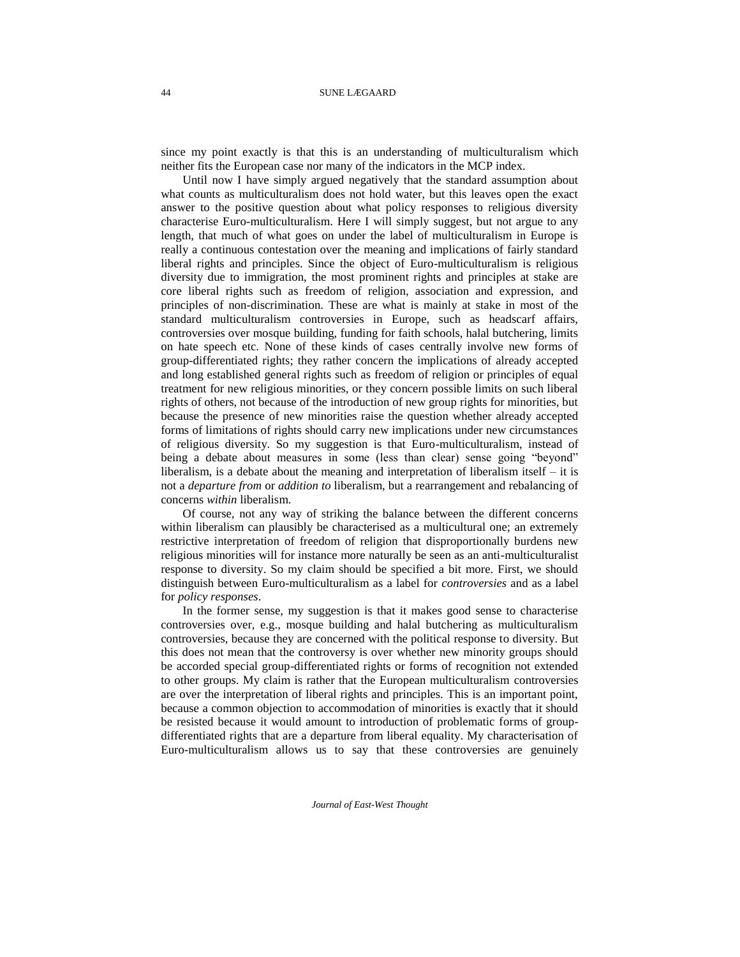since my point exactly is that this is an understanding of multiculturalism which neither fits the European case nor many of the indicators in the MCP index.

Until now I have simply argued negatively that the standard assumption about what counts as multiculturalism does not hold water, but this leaves open the exact answer to the positive question about what policy responses to religious diversity characterise Euro-multiculturalism. Here I will simply suggest, but not argue to any length, that much of what goes on under the label of multiculturalism in Europe is really a continuous contestation over the meaning and implications of fairly standard liberal rights and principles. Since the object of Euro-multiculturalism is religious diversity due to immigration, the most prominent rights and principles at stake are core liberal rights such as freedom of religion, association and expression, and principles of non-discrimination. These are what is mainly at stake in most of the standard multiculturalism controversies in Europe, such as headscarf affairs, controversies over mosque building, funding for faith schools, halal butchering, limits on hate speech etc. None of these kinds of cases centrally involve new forms of group-differentiated rights; they rather concern the implications of already accepted and long established general rights such as freedom of religion or principles of equal treatment for new religious minorities, or they concern possible limits on such liberal rights of others, not because of the introduction of new group rights for minorities, but because the presence of new minorities raise the question whether already accepted forms of limitations of rights should carry new implications under new circumstances of religious diversity. So my suggestion is that Euro-multiculturalism, instead of being a debate about measures in some (less than clear) sense going "beyond" liberalism, is a debate about the meaning and interpretation of liberalism itself – it is not a *departure from* or *addition to* liberalism, but a rearrangement and rebalancing of concerns *within* liberalism.

Of course, not any way of striking the balance between the different concerns within liberalism can plausibly be characterised as a multicultural one; an extremely restrictive interpretation of freedom of religion that disproportionally burdens new religious minorities will for instance more naturally be seen as an anti-multiculturalist response to diversity. So my claim should be specified a bit more. First, we should distinguish between Euro-multiculturalism as a label for *controversies* and as a label for *policy responses*.

In the former sense, my suggestion is that it makes good sense to characterise controversies over, e.g., mosque building and halal butchering as multiculturalism controversies, because they are concerned with the political response to diversity. But this does not mean that the controversy is over whether new minority groups should be accorded special group-differentiated rights or forms of recognition not extended to other groups. My claim is rather that the European multiculturalism controversies are over the interpretation of liberal rights and principles. This is an important point, because a common objection to accommodation of minorities is exactly that it should be resisted because it would amount to introduction of problematic forms of groupdifferentiated rights that are a departure from liberal equality. My characterisation of Euro-multiculturalism allows us to say that these controversies are genuinely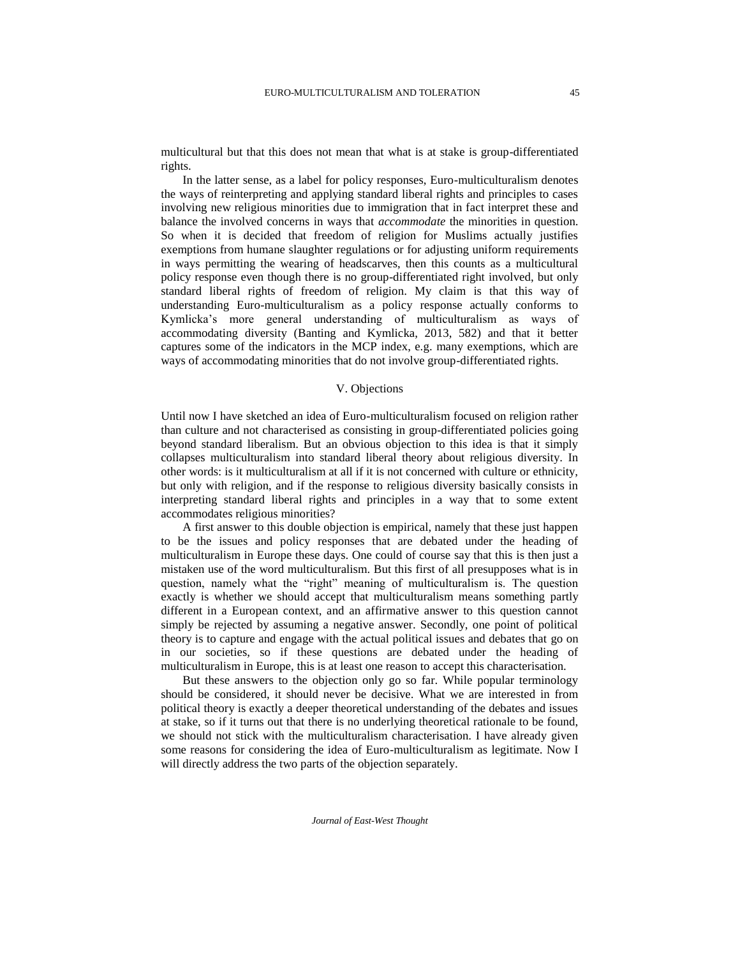multicultural but that this does not mean that what is at stake is group-differentiated rights.

In the latter sense, as a label for policy responses, Euro-multiculturalism denotes the ways of reinterpreting and applying standard liberal rights and principles to cases involving new religious minorities due to immigration that in fact interpret these and balance the involved concerns in ways that *accommodate* the minorities in question. So when it is decided that freedom of religion for Muslims actually justifies exemptions from humane slaughter regulations or for adjusting uniform requirements in ways permitting the wearing of headscarves, then this counts as a multicultural policy response even though there is no group-differentiated right involved, but only standard liberal rights of freedom of religion. My claim is that this way of understanding Euro-multiculturalism as a policy response actually conforms to Kymlicka's more general understanding of multiculturalism as ways of accommodating diversity (Banting and Kymlicka, 2013, 582) and that it better captures some of the indicators in the MCP index, e.g. many exemptions, which are ways of accommodating minorities that do not involve group-differentiated rights.

# V. Objections

Until now I have sketched an idea of Euro-multiculturalism focused on religion rather than culture and not characterised as consisting in group-differentiated policies going beyond standard liberalism. But an obvious objection to this idea is that it simply collapses multiculturalism into standard liberal theory about religious diversity. In other words: is it multiculturalism at all if it is not concerned with culture or ethnicity, but only with religion, and if the response to religious diversity basically consists in interpreting standard liberal rights and principles in a way that to some extent accommodates religious minorities?

A first answer to this double objection is empirical, namely that these just happen to be the issues and policy responses that are debated under the heading of multiculturalism in Europe these days. One could of course say that this is then just a mistaken use of the word multiculturalism. But this first of all presupposes what is in question, namely what the "right" meaning of multiculturalism is. The question exactly is whether we should accept that multiculturalism means something partly different in a European context, and an affirmative answer to this question cannot simply be rejected by assuming a negative answer. Secondly, one point of political theory is to capture and engage with the actual political issues and debates that go on in our societies, so if these questions are debated under the heading of multiculturalism in Europe, this is at least one reason to accept this characterisation.

But these answers to the objection only go so far. While popular terminology should be considered, it should never be decisive. What we are interested in from political theory is exactly a deeper theoretical understanding of the debates and issues at stake, so if it turns out that there is no underlying theoretical rationale to be found, we should not stick with the multiculturalism characterisation. I have already given some reasons for considering the idea of Euro-multiculturalism as legitimate. Now I will directly address the two parts of the objection separately.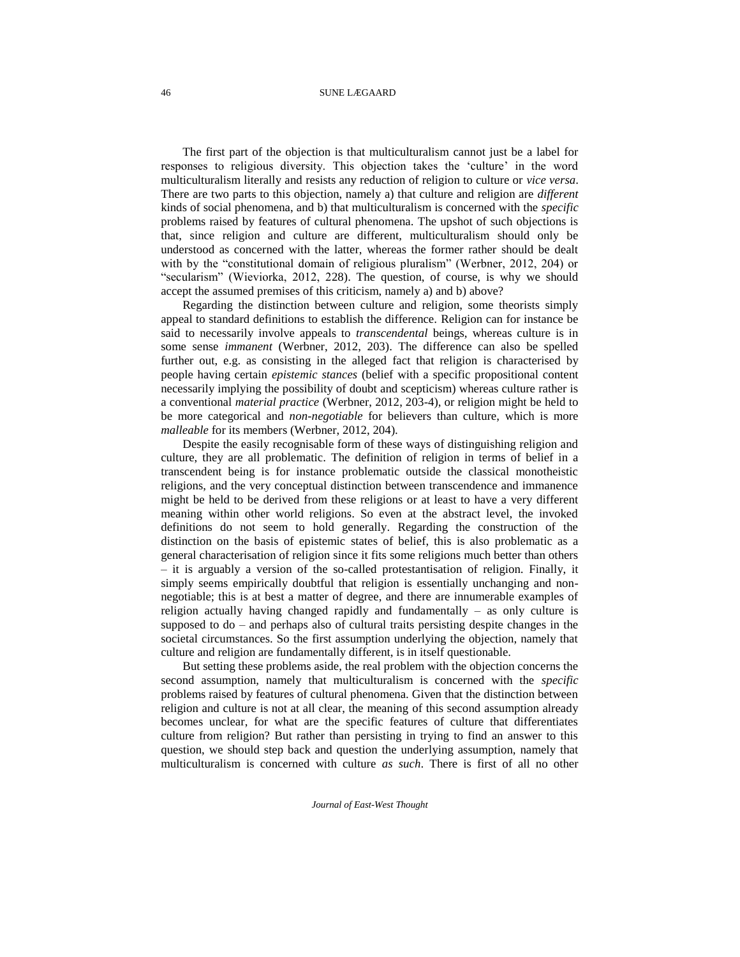The first part of the objection is that multiculturalism cannot just be a label for responses to religious diversity. This objection takes the 'culture' in the word multiculturalism literally and resists any reduction of religion to culture or *vice versa*. There are two parts to this objection, namely a) that culture and religion are *different* kinds of social phenomena, and b) that multiculturalism is concerned with the *specific* problems raised by features of cultural phenomena. The upshot of such objections is that, since religion and culture are different, multiculturalism should only be understood as concerned with the latter, whereas the former rather should be dealt with by the "constitutional domain of religious pluralism" (Werbner, 2012, 204) or "secularism" (Wieviorka, 2012, 228). The question, of course, is why we should accept the assumed premises of this criticism, namely a) and b) above?

Regarding the distinction between culture and religion, some theorists simply appeal to standard definitions to establish the difference. Religion can for instance be said to necessarily involve appeals to *transcendental* beings, whereas culture is in some sense *immanent* (Werbner, 2012, 203). The difference can also be spelled further out, e.g. as consisting in the alleged fact that religion is characterised by people having certain *epistemic stances* (belief with a specific propositional content necessarily implying the possibility of doubt and scepticism) whereas culture rather is a conventional *material practice* (Werbner, 2012, 203-4), or religion might be held to be more categorical and *non-negotiable* for believers than culture, which is more *malleable* for its members (Werbner, 2012, 204).

Despite the easily recognisable form of these ways of distinguishing religion and culture, they are all problematic. The definition of religion in terms of belief in a transcendent being is for instance problematic outside the classical monotheistic religions, and the very conceptual distinction between transcendence and immanence might be held to be derived from these religions or at least to have a very different meaning within other world religions. So even at the abstract level, the invoked definitions do not seem to hold generally. Regarding the construction of the distinction on the basis of epistemic states of belief, this is also problematic as a general characterisation of religion since it fits some religions much better than others – it is arguably a version of the so-called protestantisation of religion. Finally, it simply seems empirically doubtful that religion is essentially unchanging and nonnegotiable; this is at best a matter of degree, and there are innumerable examples of religion actually having changed rapidly and fundamentally – as only culture is supposed to do – and perhaps also of cultural traits persisting despite changes in the societal circumstances. So the first assumption underlying the objection, namely that culture and religion are fundamentally different, is in itself questionable.

But setting these problems aside, the real problem with the objection concerns the second assumption, namely that multiculturalism is concerned with the *specific* problems raised by features of cultural phenomena. Given that the distinction between religion and culture is not at all clear, the meaning of this second assumption already becomes unclear, for what are the specific features of culture that differentiates culture from religion? But rather than persisting in trying to find an answer to this question, we should step back and question the underlying assumption, namely that multiculturalism is concerned with culture *as such*. There is first of all no other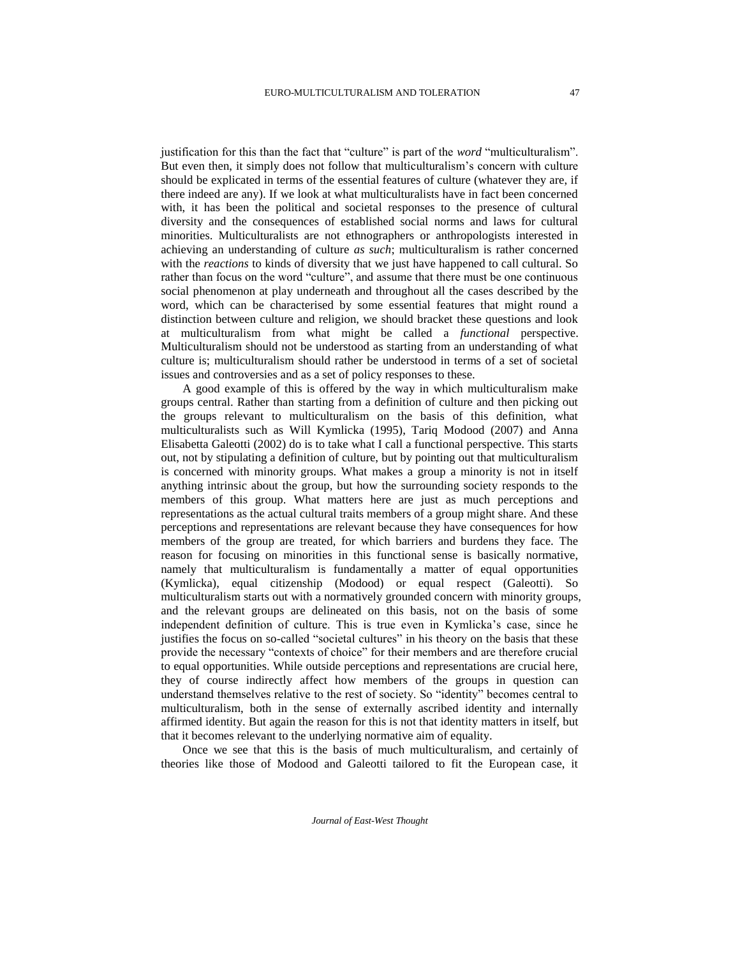justification for this than the fact that "culture" is part of the *word* "multiculturalism". But even then, it simply does not follow that multiculturalism's concern with culture should be explicated in terms of the essential features of culture (whatever they are, if there indeed are any). If we look at what multiculturalists have in fact been concerned with, it has been the political and societal responses to the presence of cultural diversity and the consequences of established social norms and laws for cultural minorities. Multiculturalists are not ethnographers or anthropologists interested in achieving an understanding of culture *as such*; multiculturalism is rather concerned with the *reactions* to kinds of diversity that we just have happened to call cultural. So rather than focus on the word "culture", and assume that there must be one continuous social phenomenon at play underneath and throughout all the cases described by the word, which can be characterised by some essential features that might round a distinction between culture and religion, we should bracket these questions and look at multiculturalism from what might be called a *functional* perspective. Multiculturalism should not be understood as starting from an understanding of what culture is; multiculturalism should rather be understood in terms of a set of societal issues and controversies and as a set of policy responses to these.

A good example of this is offered by the way in which multiculturalism make groups central. Rather than starting from a definition of culture and then picking out the groups relevant to multiculturalism on the basis of this definition, what multiculturalists such as Will Kymlicka (1995), Tariq Modood (2007) and Anna Elisabetta Galeotti (2002) do is to take what I call a functional perspective. This starts out, not by stipulating a definition of culture, but by pointing out that multiculturalism is concerned with minority groups. What makes a group a minority is not in itself anything intrinsic about the group, but how the surrounding society responds to the members of this group. What matters here are just as much perceptions and representations as the actual cultural traits members of a group might share. And these perceptions and representations are relevant because they have consequences for how members of the group are treated, for which barriers and burdens they face. The reason for focusing on minorities in this functional sense is basically normative, namely that multiculturalism is fundamentally a matter of equal opportunities (Kymlicka), equal citizenship (Modood) or equal respect (Galeotti). So multiculturalism starts out with a normatively grounded concern with minority groups, and the relevant groups are delineated on this basis, not on the basis of some independent definition of culture. This is true even in Kymlicka's case, since he justifies the focus on so-called "societal cultures" in his theory on the basis that these provide the necessary "contexts of choice" for their members and are therefore crucial to equal opportunities. While outside perceptions and representations are crucial here, they of course indirectly affect how members of the groups in question can understand themselves relative to the rest of society. So "identity" becomes central to multiculturalism, both in the sense of externally ascribed identity and internally affirmed identity. But again the reason for this is not that identity matters in itself, but that it becomes relevant to the underlying normative aim of equality.

Once we see that this is the basis of much multiculturalism, and certainly of theories like those of Modood and Galeotti tailored to fit the European case, it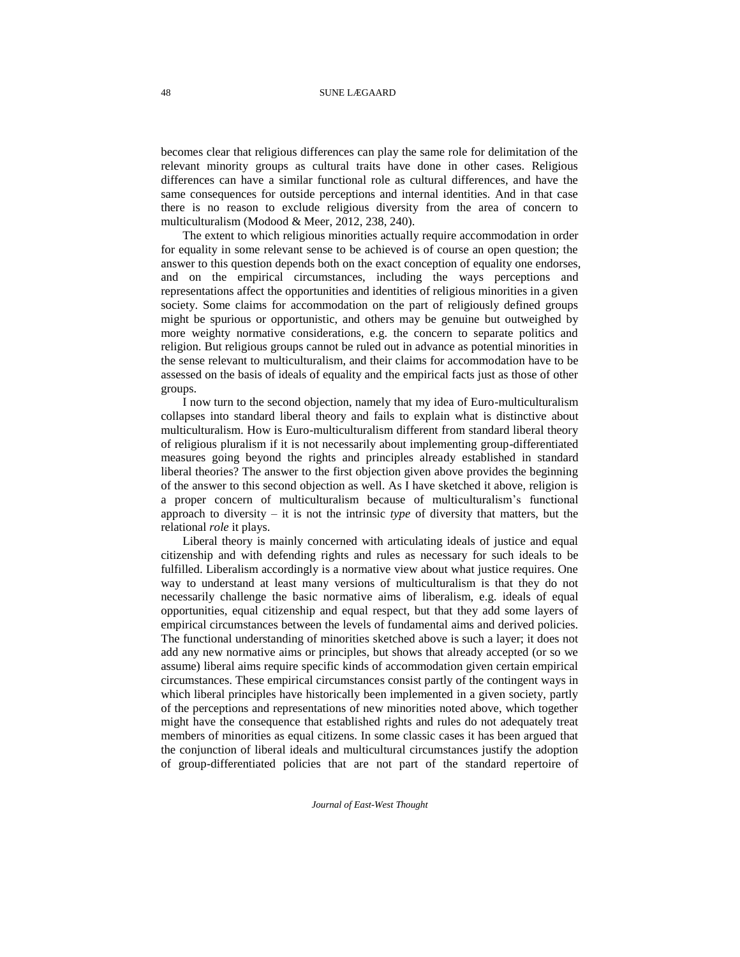becomes clear that religious differences can play the same role for delimitation of the relevant minority groups as cultural traits have done in other cases. Religious differences can have a similar functional role as cultural differences, and have the same consequences for outside perceptions and internal identities. And in that case there is no reason to exclude religious diversity from the area of concern to multiculturalism (Modood & Meer, 2012, 238, 240).

The extent to which religious minorities actually require accommodation in order for equality in some relevant sense to be achieved is of course an open question; the answer to this question depends both on the exact conception of equality one endorses, and on the empirical circumstances, including the ways perceptions and representations affect the opportunities and identities of religious minorities in a given society. Some claims for accommodation on the part of religiously defined groups might be spurious or opportunistic, and others may be genuine but outweighed by more weighty normative considerations, e.g. the concern to separate politics and religion. But religious groups cannot be ruled out in advance as potential minorities in the sense relevant to multiculturalism, and their claims for accommodation have to be assessed on the basis of ideals of equality and the empirical facts just as those of other groups.

I now turn to the second objection, namely that my idea of Euro-multiculturalism collapses into standard liberal theory and fails to explain what is distinctive about multiculturalism. How is Euro-multiculturalism different from standard liberal theory of religious pluralism if it is not necessarily about implementing group-differentiated measures going beyond the rights and principles already established in standard liberal theories? The answer to the first objection given above provides the beginning of the answer to this second objection as well. As I have sketched it above, religion is a proper concern of multiculturalism because of multiculturalism's functional approach to diversity – it is not the intrinsic *type* of diversity that matters, but the relational *role* it plays.

Liberal theory is mainly concerned with articulating ideals of justice and equal citizenship and with defending rights and rules as necessary for such ideals to be fulfilled. Liberalism accordingly is a normative view about what justice requires. One way to understand at least many versions of multiculturalism is that they do not necessarily challenge the basic normative aims of liberalism, e.g. ideals of equal opportunities, equal citizenship and equal respect, but that they add some layers of empirical circumstances between the levels of fundamental aims and derived policies. The functional understanding of minorities sketched above is such a layer; it does not add any new normative aims or principles, but shows that already accepted (or so we assume) liberal aims require specific kinds of accommodation given certain empirical circumstances. These empirical circumstances consist partly of the contingent ways in which liberal principles have historically been implemented in a given society, partly of the perceptions and representations of new minorities noted above, which together might have the consequence that established rights and rules do not adequately treat members of minorities as equal citizens. In some classic cases it has been argued that the conjunction of liberal ideals and multicultural circumstances justify the adoption of group-differentiated policies that are not part of the standard repertoire of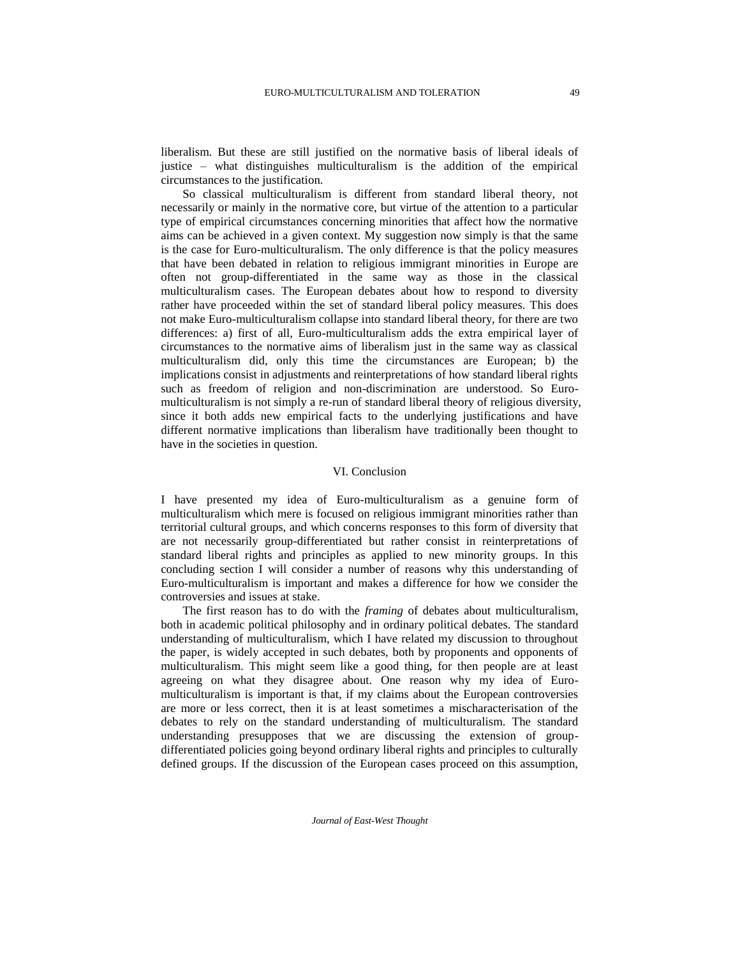liberalism. But these are still justified on the normative basis of liberal ideals of justice – what distinguishes multiculturalism is the addition of the empirical circumstances to the justification.

So classical multiculturalism is different from standard liberal theory, not necessarily or mainly in the normative core, but virtue of the attention to a particular type of empirical circumstances concerning minorities that affect how the normative aims can be achieved in a given context. My suggestion now simply is that the same is the case for Euro-multiculturalism. The only difference is that the policy measures that have been debated in relation to religious immigrant minorities in Europe are often not group-differentiated in the same way as those in the classical multiculturalism cases. The European debates about how to respond to diversity rather have proceeded within the set of standard liberal policy measures. This does not make Euro-multiculturalism collapse into standard liberal theory, for there are two differences: a) first of all, Euro-multiculturalism adds the extra empirical layer of circumstances to the normative aims of liberalism just in the same way as classical multiculturalism did, only this time the circumstances are European; b) the implications consist in adjustments and reinterpretations of how standard liberal rights such as freedom of religion and non-discrimination are understood. So Euromulticulturalism is not simply a re-run of standard liberal theory of religious diversity, since it both adds new empirical facts to the underlying justifications and have different normative implications than liberalism have traditionally been thought to have in the societies in question.

# VI. Conclusion

I have presented my idea of Euro-multiculturalism as a genuine form of multiculturalism which mere is focused on religious immigrant minorities rather than territorial cultural groups, and which concerns responses to this form of diversity that are not necessarily group-differentiated but rather consist in reinterpretations of standard liberal rights and principles as applied to new minority groups. In this concluding section I will consider a number of reasons why this understanding of Euro-multiculturalism is important and makes a difference for how we consider the controversies and issues at stake.

The first reason has to do with the *framing* of debates about multiculturalism, both in academic political philosophy and in ordinary political debates. The standard understanding of multiculturalism, which I have related my discussion to throughout the paper, is widely accepted in such debates, both by proponents and opponents of multiculturalism. This might seem like a good thing, for then people are at least agreeing on what they disagree about. One reason why my idea of Euromulticulturalism is important is that, if my claims about the European controversies are more or less correct, then it is at least sometimes a mischaracterisation of the debates to rely on the standard understanding of multiculturalism. The standard understanding presupposes that we are discussing the extension of groupdifferentiated policies going beyond ordinary liberal rights and principles to culturally defined groups. If the discussion of the European cases proceed on this assumption,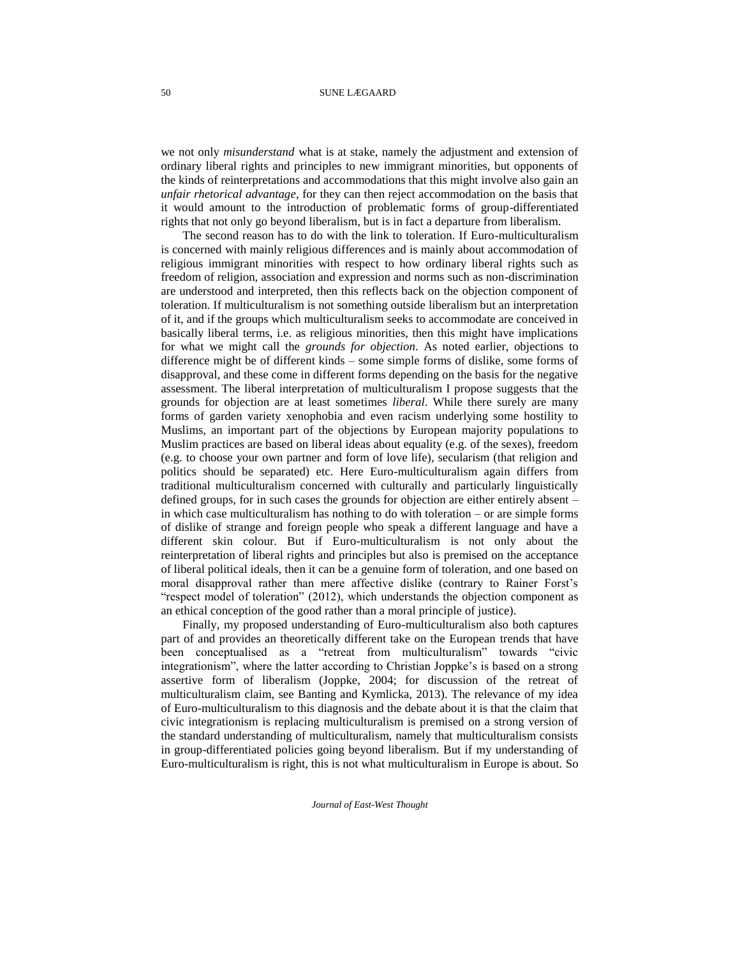we not only *misunderstand* what is at stake, namely the adjustment and extension of ordinary liberal rights and principles to new immigrant minorities, but opponents of the kinds of reinterpretations and accommodations that this might involve also gain an *unfair rhetorical advantage*, for they can then reject accommodation on the basis that it would amount to the introduction of problematic forms of group-differentiated rights that not only go beyond liberalism, but is in fact a departure from liberalism.

The second reason has to do with the link to toleration. If Euro-multiculturalism is concerned with mainly religious differences and is mainly about accommodation of religious immigrant minorities with respect to how ordinary liberal rights such as freedom of religion, association and expression and norms such as non-discrimination are understood and interpreted, then this reflects back on the objection component of toleration. If multiculturalism is not something outside liberalism but an interpretation of it, and if the groups which multiculturalism seeks to accommodate are conceived in basically liberal terms, i.e. as religious minorities, then this might have implications for what we might call the *grounds for objection*. As noted earlier, objections to difference might be of different kinds – some simple forms of dislike, some forms of disapproval, and these come in different forms depending on the basis for the negative assessment. The liberal interpretation of multiculturalism I propose suggests that the grounds for objection are at least sometimes *liberal*. While there surely are many forms of garden variety xenophobia and even racism underlying some hostility to Muslims, an important part of the objections by European majority populations to Muslim practices are based on liberal ideas about equality (e.g. of the sexes), freedom (e.g. to choose your own partner and form of love life), secularism (that religion and politics should be separated) etc. Here Euro-multiculturalism again differs from traditional multiculturalism concerned with culturally and particularly linguistically defined groups, for in such cases the grounds for objection are either entirely absent – in which case multiculturalism has nothing to do with toleration – or are simple forms of dislike of strange and foreign people who speak a different language and have a different skin colour. But if Euro-multiculturalism is not only about the reinterpretation of liberal rights and principles but also is premised on the acceptance of liberal political ideals, then it can be a genuine form of toleration, and one based on moral disapproval rather than mere affective dislike (contrary to Rainer Forst's "respect model of toleration" (2012), which understands the objection component as an ethical conception of the good rather than a moral principle of justice).

Finally, my proposed understanding of Euro-multiculturalism also both captures part of and provides an theoretically different take on the European trends that have been conceptualised as a "retreat from multiculturalism" towards "civic integrationism", where the latter according to Christian Joppke's is based on a strong assertive form of liberalism (Joppke, 2004; for discussion of the retreat of multiculturalism claim, see Banting and Kymlicka, 2013). The relevance of my idea of Euro-multiculturalism to this diagnosis and the debate about it is that the claim that civic integrationism is replacing multiculturalism is premised on a strong version of the standard understanding of multiculturalism, namely that multiculturalism consists in group-differentiated policies going beyond liberalism. But if my understanding of Euro-multiculturalism is right, this is not what multiculturalism in Europe is about. So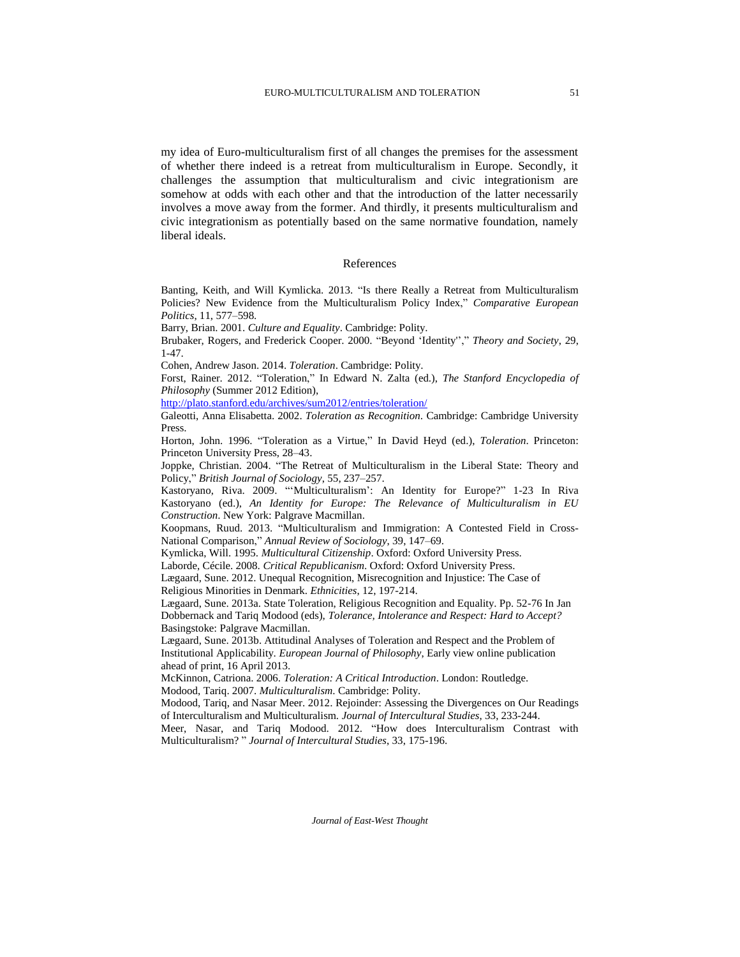my idea of Euro-multiculturalism first of all changes the premises for the assessment of whether there indeed is a retreat from multiculturalism in Europe. Secondly, it challenges the assumption that multiculturalism and civic integrationism are somehow at odds with each other and that the introduction of the latter necessarily involves a move away from the former. And thirdly, it presents multiculturalism and civic integrationism as potentially based on the same normative foundation, namely liberal ideals.

#### References

Banting, Keith, and Will Kymlicka. 2013. "Is there Really a Retreat from Multiculturalism Policies? New Evidence from the Multiculturalism Policy Index," *Comparative European Politics*, 11, 577–598.

Barry, Brian. 2001. *Culture and Equality*. Cambridge: Polity.

Brubaker, Rogers, and Frederick Cooper. 2000. "Beyond 'Identity''," *Theory and Society*, 29, 1-47.

Cohen, Andrew Jason. 2014. *Toleration*. Cambridge: Polity.

Forst, Rainer. 2012. "Toleration," In Edward N. Zalta (ed.), *The Stanford Encyclopedia of Philosophy* (Summer 2012 Edition),

<http://plato.stanford.edu/archives/sum2012/entries/toleration/>

Galeotti, Anna Elisabetta. 2002. *Toleration as Recognition*. Cambridge: Cambridge University Press.

Horton, John. 1996. "Toleration as a Virtue," In David Heyd (ed.), *Toleration*. Princeton: Princeton University Press, 28–43.

Joppke, Christian. 2004. "The Retreat of Multiculturalism in the Liberal State: Theory and Policy," *British Journal of Sociology*, 55, 237–257.

Kastoryano, Riva. 2009. "'Multiculturalism': An Identity for Europe?" 1-23 In Riva Kastoryano (ed.), *An Identity for Europe: The Relevance of Multiculturalism in EU Construction*. New York: Palgrave Macmillan.

Koopmans, Ruud. 2013. "Multiculturalism and Immigration: A Contested Field in Cross-National Comparison," *Annual Review of Sociology*, 39, 147–69.

Kymlicka, Will. 1995. *Multicultural Citizenship*. Oxford: Oxford University Press.

Laborde, Cécile. 2008. *Critical Republicanism*. Oxford: Oxford University Press.

Lægaard, Sune. 2012. Unequal Recognition, Misrecognition and Injustice: The Case of Religious Minorities in Denmark. *Ethnicities*, 12, 197-214.

Lægaard, Sune. 2013a. State Toleration, Religious Recognition and Equality. Pp. 52-76 In Jan Dobbernack and Tariq Modood (eds), *Tolerance, Intolerance and Respect: Hard to Accept?* Basingstoke: Palgrave Macmillan.

Lægaard, Sune. 2013b. Attitudinal Analyses of Toleration and Respect and the Problem of Institutional Applicability. *European Journal of Philosophy*, Early view online publication ahead of print, 16 April 2013.

McKinnon, Catriona. 2006. *Toleration: A Critical Introduction*. London: Routledge. Modood, Tariq. 2007. *Multiculturalism*. Cambridge: Polity.

Modood, Tariq, and Nasar Meer. 2012. Rejoinder: Assessing the Divergences on Our Readings of Interculturalism and Multiculturalism. *Journal of Intercultural Studies*, 33, 233-244.

Meer, Nasar, and Tariq Modood. 2012. "How does Interculturalism Contrast with Multiculturalism? " *Journal of Intercultural Studies*, 33, 175-196.